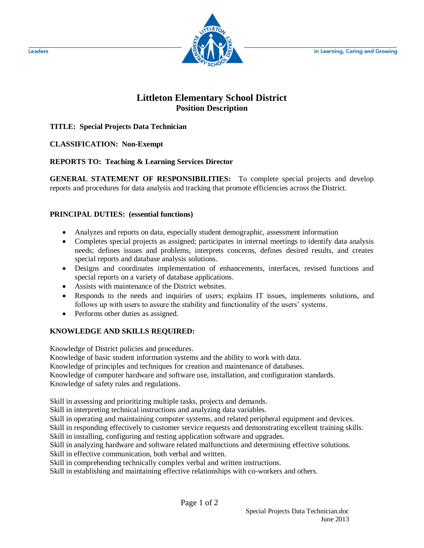

## **Littleton Elementary School District Position Description**

**TITLE: Special Projects Data Technician**

**CLASSIFICATION: Non-Exempt**

**REPORTS TO: Teaching & Learning Services Director**

**GENERAL STATEMENT OF RESPONSIBILITIES:** To complete special projects and develop reports and procedures for data analysis and tracking that promote efficiencies across the District.

## **PRINCIPAL DUTIES: (essential functions)**

- Analyzes and reports on data, especially student demographic, assessment information
- Completes special projects as assigned; participates in internal meetings to identify data analysis needs; defines issues and problems, interprets concerns, defines desired results, and creates special reports and database analysis solutions.
- Designs and coordinates implementation of enhancements, interfaces, revised functions and special reports on a variety of database applications.
- Assists with maintenance of the District websites.
- Responds to the needs and inquiries of users; explains IT issues, implements solutions, and follows up with users to assure the stability and functionality of the users' systems.
- Performs other duties as assigned.

## **KNOWLEDGE AND SKILLS REQUIRED:**

Knowledge of District policies and procedures.

Knowledge of basic student information systems and the ability to work with data.

Knowledge of principles and techniques for creation and maintenance of databases.

Knowledge of computer hardware and software use, installation, and configuration standards. Knowledge of safety rules and regulations.

Skill in assessing and prioritizing multiple tasks, projects and demands.

Skill in interpreting technical instructions and analyzing data variables.

Skill in operating and maintaining computer systems, and related peripheral equipment and devices.

Skill in responding effectively to customer service requests and demonstrating excellent training skills. Skill in installing, configuring and testing application software and upgrades.

Skill in analyzing hardware and software related malfunctions and determining effective solutions.

Skill in effective communication, both verbal and written.

Skill in comprehending technically complex verbal and written instructions.

Skill in establishing and maintaining effective relationships with co-workers and others.